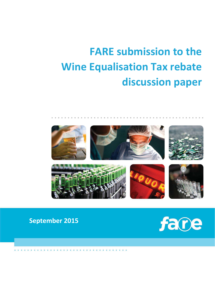# **FARE submission to the Wine Equalisation Tax rebate discussion paper**



# **September 2015**

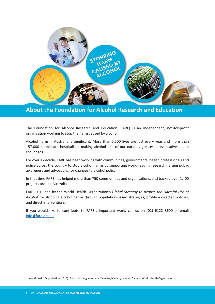

**About the Foundation for Alcohol Research and Education** 

The Foundation for Alcohol Research and Education (FARE) is an independent, not-for-profit organisation working to stop the harm caused by alcohol.

Alcohol harm in Australia is significant. More than 5,500 lives are lost every year and more than 157,000 people are hospitalised making alcohol one of our nation's greatest preventative health challenges.

For over a decade, FARE has been working with communities, governments, health professionals and police across the country to stop alcohol harms by supporting world-leading research, raising public awareness and advocating for changes to alcohol policy.

In that time FARE has helped more than 750 communities and organisations, and backed over 1,400 projects around Australia.

FARE is guided by the World Health Organization's *Global Strategy to Reduce the Harmful Use of*  Alcohol<sup>i</sup> for stopping alcohol harms through population-based strategies, problem directed policies, and direct interventions.

If you would like to contribute to FARE's important work, call us on (02) 6122 8600 or email info@fare.org.au.

-

i World Health Organization (2010). *Global strategy to reduce the harmful use of alcohol.* Geneva: World Health Organization.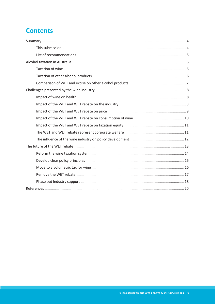# **Contents**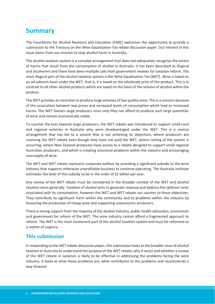# **Summary**

The Foundation for Alcohol Research and Education (FARE) welcomes the opportunity to provide a submission to the Treasury on the *Wine Equalisation Tax rebate discussion paper*. Our interest in this issue stems from our mission to stop alcohol harm in Australia.

The alcohol taxation system is a complex arrangement that does not adequately recognise the extent of harms that result from the consumption of alcohol in Australia. It has been described as illogical and incoherent and there have been multiple calls from government reviews for taxation reform. The most illogical part of the alcohol taxation system is the Wine Equalisation Tax (WET). Wine is taxed on an ad valorem basis under the WET, that is, it is taxed on the wholesale price of the product. This is in contrast to all other alcohol products which are taxed on the basis of the volume of alcohol within the product.

The WET provides an incentive to produce large volumes of low quality wine. This is a concern because of the association between low prices and increased levels of consumption which lead to increased harms. The WET favours large producers since only they can afford to produce such large quantities of wine and remain economically viable.

To counter the bias towards large producers, the WET rebate was introduced to support small rural and regional wineries in Australia who were disadvantaged under the WET. This is a clumsy arrangement that has led to a system that is not achieving its objectives, where producers are receiving the WET rebate even though they have not paid the WET, where rorting of the system is occurring, where New Zealand producers have access to a rebate designed to support small regional Australian producers, and which is creating structural problems within the industry and encouraging oversupply of wine.

The WET and WET rebate represent corporate welfare by providing a significant subsidy to the wine industry that supports otherwise unprofitable business to continue operating. The Australia Institute estimates the level of this subsidy to be in the order of \$1 billion per year.

Any review of the WET rebate must be considered in the broader context of the WET and alcohol taxation more generally. Taxation of alcohol aims to generate revenue and address the spillover costs associated with its consumption, however the WET and WET rebate run counter to these objectives. They contribute to significant harm within the community and to problems within the industry by favouring the production of cheap wine and supporting uneconomic producers.

There is strong support from the majority of the alcohol industry, public health advocates, economists and government for reform of the WET. The wine industry cannot afford a fragmented approach to reform. The WET is the most incoherent part of the alcohol taxation system and must be reformed as a matter of urgency.

## **This submission**

In responding to the *WET rebate discussion paper*, this submission looks at the broader issue of alcohol taxation in Australia to understand the purpose of the WET rebate, why it exists and whether a review of the WET rebate in isolation is likely to be effective in addressing the problems facing the wine industry. It looks at what these problems are, what contributes to the problems and recommends a way forward.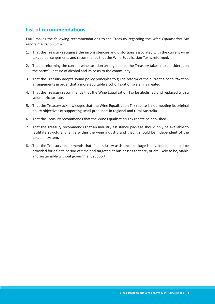## **List of recommendations**

FARE makes the following recommendations to the Treasury regarding the *Wine Equalisation Tax rebate discussion paper*:

- 1. That the Treasury recognise the inconsistencies and distortions associated with the current wine taxation arrangements and recommends that the Wine Equalisation Tax is reformed.
- 2. That in reforming the current wine taxation arrangements, the Treasury takes into consideration the harmful nature of alcohol and its costs to the community.
- 3. That the Treasury adopts sound policy principles to guide reform of the current alcohol taxation arrangements in order that a more equitable alcohol taxation system is created.
- 4. That the Treasury recommends that the Wine Equalisation Tax be abolished and replaced with a volumetric tax rate.
- 5. That the Treasury acknowledges that the Wine Equalisation Tax rebate is not meeting its original policy objectives of supporting small producers in regional and rural Australia.
- 6. That the Treasury recommends that the Wine Equalisation Tax rebate be abolished.
- 7. That the Treasury recommends that an industry assistance package should only be available to facilitate structural change within the wine industry and that it should be independent of the taxation system.
- 8. That the Treasury recommends that if an industry assistance package is developed, it should be provided for a finite period of time and targeted at businesses that are, or are likely to be, viable and sustainable without government support.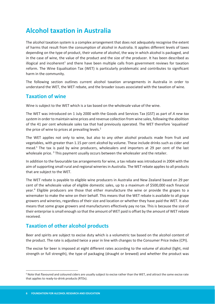# **Alcohol taxation in Australia**

The alcohol taxation system is a complex arrangement that does not adequately recognise the extent of harms that result from the consumption of alcohol in Australia. It applies different levels of taxes depending on the type of product, their volume of alcohol, the way in which alcohol is packaged, and in the case of wine, the value of the product and the size of the producer. It has been described as illogical and incoherent<sup>1</sup> and there have been multiple calls from government reviews for taxation reform. The Wine Equalisation Tax (WET) is particularly problematic and contributes to significant harm in the community.

The following section outlines current alcohol taxation arrangements in Australia in order to understand the WET, the WET rebate, and the broader issues associated with the taxation of wine.

#### **Taxation of wine**

Wine is subject to the WET which is a tax based on the wholesale value of the wine.

The WET was introduced on 1 July 2000 with the Goods and Services Tax (GST) as part of *A new tax system* in order to maintain wine prices and revenue collection from wine sales, following the abolition of the 41 per cent wholesale sales tax that had previously operated. The WET therefore 'equalised' the price of wine to prices at prevailing levels.<sup>2</sup>

The WET applies not only to wine, but also to any other alcohol products made from fruit and vegetables, with greater than 1.15 per cent alcohol by volume. These include drinks such as cider and mead.<sup>ii</sup> The tax is paid by wine producers, wholesalers and importers at 29 per cent of the last wholesale price.<sup>3</sup> This payment usually occurs between the wholesaler and the retailer.

In addition to the favourable tax arrangements for wine, a tax rebate was introduced in 2004 with the aim of supporting small rural and regional wineries in Australia. The WET rebate applies to all products that are subject to the WET.

The WET rebate is payable to eligible wine producers in Australia and New Zealand based on 29 per cent of the wholesale value of eligible domestic sales, up to a maximum of \$500,000 each financial year.<sup>4</sup> Eligible producers are those that either manufacture the wine or provide the grapes to a winemaker to make the wine on their behalf. This means that the WET rebate is available to all grape growers and wineries, regardless of their size and location or whether they have paid the WET. It also means that some grape growers and manufacturers effectively pay no tax. This is because the size of their enterprise is small enough so that the amount of WET paid is offset by the amount of WET rebate received.

## **Taxation of other alcohol products**

Beer and spirits are subject to excise duty which is a volumetric tax based on the alcohol content of the product. The rate is adjusted twice a year in line with changes to the Consumer Price Index (CPI).

The excise for beer is imposed at eight different rates according to the volume of alcohol (light, mid strength or full strength), the type of packaging (draught or brewed) and whether the product was

**.** 

ii Note that flavoured and coloured ciders are usually subject to excise rather than the WET, and attract the same excise rate that applies to ready-to-drink products (RTDs).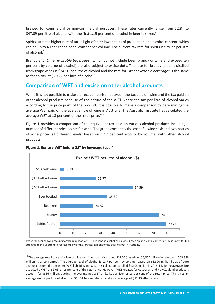brewed for commercial or non-commercial purposes. These rates currently range from \$2.84 to \$47.09 per litre of alcohol with the first 1.15 per cent of alcohol in beer tax-free.<sup>5</sup>

Spirits attract a higher rate of tax in light of their lower costs of production and alcohol content, which can be up to 40 per cent alcohol content per volume. The current tax rate for spirits is \$79.77 per litre of alcohol.<sup>6</sup>

Brandy and '*Other excisable beverages'* (which do not include beer, brandy or wine and exceed ten per cent by volume of alcohol) are also subject to excise duty. The rate for brandy (a spirit distilled from grape wine) is \$74.50 per litre of alcohol and the rate for *Other excisable beverages* is the same as for spirits, at \$79.77 per litre of alcohol.<sup>7</sup>

## **Comparison of WET and excise on other alcohol products**

While it is not possible to make a direct comparison between the tax paid on wine and the tax paid on other alcohol products because of the nature of the WET where the tax per litre of alcohol varies according to the price point of the product, it is possible to make a comparison by determining the average WET paid on the average litre of wine in Australia. The Australia Institute has calculated the average WET at 13 per cent of the retail price. $iii,8$ 

Figure 1 provides a comparison of the equivalent tax paid on various alcohol products including a number of different price points for wine. The graph compares the cost of a wine cask and two bottles of wine priced at different levels, based on 12.7 per cent alcohol by volume, with other alcohol products.



#### **Figure 1. Excise / WET before GST by beverage type.9**

**.** 

Excise for beer shown accounts for the reduction of 1.15 per cent of alcohol by volume, based on an alcohol content of 4.6 per cent for full strength beer. Full strength represents by far the largest segment of the beer market in Australia.

iii The average retail price of a litre of wine sold in Australia is around \$11.04 (based on ~\$6,000 million in sales, with 543.348 million litres consumed). The average level of alcohol is 12.7 per cent by volume (based on 68.890 million litres of pure alcohol consumed from wine). WET liabilities and Customs collections totalled \$1,103 million in 2013-14. So the average litre attracted a WET of \$2.03, or 18 per cent of the retail price. However, WET rebates for Australian and New Zealand producers account for \$336 million, putting the average net WET at \$1.41 per litre, or 13 per cent of the retail price. This gives an average excise per litre of alcohol at \$16.01 before rebates, and a net average of \$11.13 after rebates.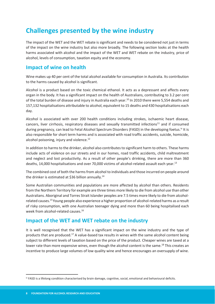# **Challenges presented by the wine industry**

The impact of the WET and the WET rebate is significant and needs to be considered not just in terms of the impact on the wine industry but also more broadly. The following section looks at the health harms associated with alcohol and the impact of the WET and WET rebate on the industry, price of alcohol, levels of consumption, taxation equity and the economy.

## **Impact of wine on health**

Wine makes up 40 per cent of the total alcohol available for consumption in Australia. Its contribution to the harms caused by alcohol is significant.

Alcohol is a product based on the toxic chemical ethanol. It acts as a depressant and affects every organ in the body. It has a significant impact on the health of Australians, contributing to 3.2 per cent of the total burden of disease and injury in Australia each year.<sup>10</sup> In 2010 there were 5,554 deaths and 157,132 hospitalisations attributable to alcohol, equivalent to 15 deaths and 430 hospitalisations each day.

Alcohol is associated with over 200 health conditions including strokes, ischaemic heart disease, cancers, liver cirrhosis, respiratory diseases and sexually transmitted infections<sup>11</sup> and if consumed during pregnancy, can lead to Fetal Alcohol Spectrum Disorders (FASD) in the developing foetus.<sup>iv</sup> It is also responsible for short term harms and is associated with road traffic accidents, suicide, homicide, alcohol poisoning, injury and violence.<sup>12</sup>

In addition to harms to the drinker, alcohol also contributes to significant harm to others. These harms include acts of violence on our streets and in our homes, road traffic accidents, child maltreatment and neglect and lost productivity. As a result of other people's drinking, there are more than 360 deaths, 14,000 hospitalisations and over 70,000 victims of alcohol-related assault each year.<sup>13</sup>

The combined cost of both the harms from alcohol to individuals and those incurred on people around the drinker is estimated at \$36 billion annually.<sup>14</sup>

Some Australian communities and populations are more affected by alcohol than others. Residents from the Northern Territory for example are three times more likely to die from alcohol use than other Australians. Aboriginal and Torres Strait Islander peoples are 7.5 times more likely to die from alcoholrelated causes.15 Young people also experience a higher proportion of alcohol-related harms as a result of risky consumption, with one Australian teenager dying and more than 60 being hospitalised each week from alcohol-related causes.16

## **Impact of the WET and WET rebate on the industry**

It is well recognised that the WET has a significant impact on the wine industry and the type of products that are produced.17 A value-based tax results in wines with the same alcohol content being subject to different levels of taxation based on the price of the product. Cheaper wines are taxed at a lower rate than more expensive wines, even though the alcohol content is the same.<sup>18</sup> This creates an incentive to produce large volumes of low quality wine and hence encourages an oversupply of wine.

<u>.</u>

iv FASD is a lifelong condition characterised by brain damage, cognitive, social, emotional and behavioural deficits.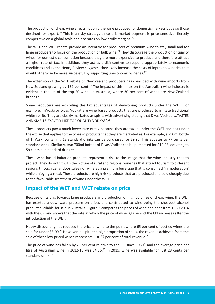The production of cheap wine affects not only the wine produced for domestic markets but also those destined for export.<sup>19</sup> This is a risky strategy since this market segment is price sensitive, fiercely competitive on a global scale and operates on low profit margins.<sup>20</sup>

The WET and WET rebate provide an incentive for producers of premium wine to stay small and for large producers to focus on the production of bulk wine.<sup>21</sup> They discourage the production of quality wines for domestic consumption because they are more expensive to produce and therefore attract a higher rate of tax. In addition, they act as a disincentive to respond appropriately to economic conditions and as the Henry Review suggests, they likely increase the costs of inputs to wineries that would otherwise be more successful by supporting uneconomic wineries.<sup>22</sup>

The extension of the WET rebate to New Zealand producers has coincided with wine imports from New Zealand growing by 139 per cent.<sup>23</sup> The impact of this influx on the Australian wine industry is evident in the list of the top 20 wines in Australia, where 30 per cent of wines are New Zealand brands.24

Some producers are exploiting the tax advantages of developing products under the WET. For example, TriVoski or Divas Vodkat are wine based products that are produced to imitate traditional white spirits. They are clearly marketed as spirits with advertising stating that Divas Vodkat "…TASTES AND SMELLS EXACTLY LIKE TOP QUALITY VODKA!".25

These products pay a much lower rate of tax because they are taxed under the WET and not under the excise that applies to the types of products that they are marketed as*.* For example, a 750ml bottle of TriVoski containing 13 standard drinks can be purchased for \$9.95. This equates to 77 cents per standard drink. Similarly, two 700ml bottles of Divas Vodkat can be purchased for \$19.98, equating to 59 cents per standard drink.<sup>26</sup>

These wine based imitation products represent a risk to the image that the wine industry tries to project. They do not fit with the picture of rural and regional wineries that attract tourism to different regions through cellar door sales nor wine as a premium beverage that is consumed 'in moderation' while enjoying a meal. These products are high risk products that are produced and sold cheaply due to the favourable treatment of wine under the WET.

## **Impact of the WET and WET rebate on price**

Because of its bias towards large producers and production of high volumes of cheap wine, the WET has exerted a downward pressure on prices and contributed to wine being the cheapest alcohol product available for sale in Australia. Figure 2 compares the prices of wine and beer from 1980-2014 with the CPI and shows that the rate at which the price of wine lags behind the CPI increases after the introduction of the WET.

Heavy discounting has reduced the price of wine to the point where 65 per cent of bottled wines are sold for under \$8.00.<sup>27</sup> However, despite the high proportion of sales, the revenue achieved from the sale of these low priced wines represents just 37 per cent of total revenue.<sup>28</sup>

The price of wine has fallen by 25 per cent relative to the CPI since 1980<sup>29</sup> and the average price per litre of Australian wine in 2012-13 was \$4.86.<sup>30</sup> In 2015, wine was available for just 29 cents per standard drink $31$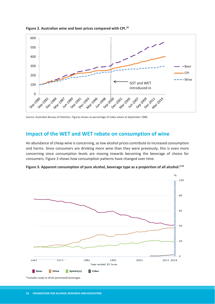

**Figure 2. Australian wine and beer prices compared with CPI.32**

Source: Australian Bureau of Statistics. Figures shown as percentage of index values at September 1980.

#### **Impact of the WET and WET rebate on consumption of wine**

An abundance of cheap wine is concerning, as low alcohol prices contribute to increased consumption and harms. Since consumers are drinking more wine than they were previously, this is even more concerning since consumption levels are moving towards becoming the beverage of choice for consumers. Figure 3 shows how consumption patterns have changed over time.



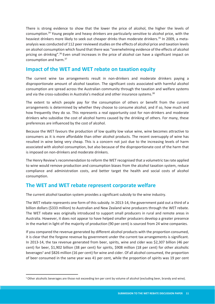There is strong evidence to show that the lower the price of alcohol, the higher the levels of consumption.34 Young people and heavy drinkers are particularly sensitive to alcohol price, with the heaviest drinkers more likely to seek out cheaper drinks than moderate drinkers.<sup>35</sup> In 2009, a metaanalysis was conducted of 112 peer reviewed studies on the effects of alcohol price and taxation levels on alcohol consumption which found that there was "overwhelming evidence of the effects of alcohol pricing on drinking".<sup>36</sup> Even small increases in the price of alcohol can have a significant impact on consumption and harm.37

#### **Impact of the WET and WET rebate on taxation equity**

The current wine tax arrangements result in non-drinkers and moderate drinkers paying a disproportionate amount of alcohol taxation. The significant costs associated with harmful alcohol consumption are spread across the Australian community through the taxation and welfare systems and via the cross-subsidies in Australia's medical and other insurance systems.<sup>38</sup>

The extent to which people pay for the consumption of others or benefit from the current arrangements is determined by whether they choose to consume alcohol, and if so, how much and how frequently they do so. This represents a real opportunity cost for non-drinkers and moderate drinkers who subsidise the cost of alcohol harms caused by the drinking of others. For many, these preferences are influenced by the cost of alcohol.

Because the WET favours the production of low quality low value wine, wine becomes attractive to consumers as it is more affordable than other alcohol products. The recent oversupply of wine has resulted in wine being very cheap. This is a concern not just due to the increasing levels of harm associated with alcohol consumption, but also because of the disproportionate cost of the harm that is imposed on non-drinkers and moderate drinkers.

The Henry Review's recommendation to reform the WET recognised that a volumetric tax rate applied to wine would remove production and consumption biases from the alcohol taxation system, reduce compliance and administration costs, and better target the health and social costs of alcohol consumption.

## **The WET and WET rebate represent corporate welfare**

The current alcohol taxation system provides a significant subsidy to the wine industry.

The WET rebate represents one form of this subsidy. In 2013-14, the government paid out a third of a billion dollars (\$333 million) to Australian and New Zealand wine producers through the WET rebate. The WET rebate was originally introduced to support small producers in rural and remote areas in Australia. However, it does not appear to have helped smaller producers develop a greater presence in the market in light of the majority of production (90 per cent) is sourced from 24 wine companies.

If you compared the revenue generated by different alcohol products with the proportion consumed, it is clear that the forgone revenue by government under the current tax arrangements is significant. In 2013-14, the tax revenue generated from beer, spirits, wine and cider was \$2,307 billion (46 per cent) for beer, \$1,902 billion (38 per cent) for spirits, \$908 million (18 per cent) for other alcoholic beverages<sup>v</sup> and \$826 million (16 per cent) for wine and cider. Of all alcohol consumed, the proportion of beer consumed in the same year was 41 per cent, while the proportion of spirits was 19 per cent

<u>.</u>

v Other alcoholic beverages are those not exceeding ten per cent by volume of alcohol (excluding beer, brandy and wine).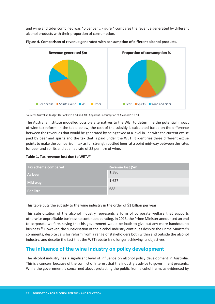and wine and cider combined was 40 per cent. Figure 4 compares the revenue generated by different alcohol products with their proportion of consumption.





Sources: Australian Budget Outlook 2013-14 and ABS Apparent Consumption of Alcohol 2013-14

The Australia Institute modelled possible alternatives to the WET to determine the potential impact of wine tax reform. In the table below, the cost of the subsidy is calculated based on the difference between the revenues that would be generated by being taxed at a level in line with the current excise paid by beer and spirits and the tax that is paid under the WET. It identifies three different excise points to make the comparison: tax as full strength bottled beer, at a point mid-way between the rates for beer and spirits and at a flat rate of \$3 per litre of wine.

|  | Table 1. Tax revenue lost due to WET. <sup>39</sup> |  |  |
|--|-----------------------------------------------------|--|--|
|--|-----------------------------------------------------|--|--|

| Tax scheme compared | Revenue lost (\$m) |
|---------------------|--------------------|
| As beer             | 1,386              |
| <b>Mid way</b>      | 1,627              |
| <b>Per litre</b>    | 688                |

This table puts the subsidy to the wine industry in the order of \$1 billion per year.

This subsidisation of the alcohol industry represents a form of corporate welfare that supports otherwise unprofitable business to continue operating. In 2013, the Prime Minister announced an end to corporate welfare, saying that his government would be loath to give out any more handouts to business.40 However, the subsidisation of the alcohol industry continues despite the Prime Minister's comments, despite calls for reform from a range of stakeholders both within and outside the alcohol industry, and despite the fact that the WET rebate is no longer achieving its objectives.

## **The influence of the wine industry on policy development**

The alcohol industry has a significant level of influence on alcohol policy development in Australia. This is a concern because of the conflict of interest that the industry's advice to government presents. While the government is concerned about protecting the public from alcohol harm, as evidenced by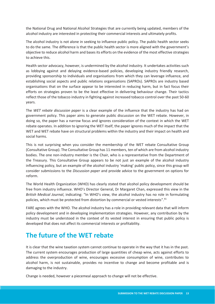the National Drug and National Alcohol Strategies that are currently being updated, members of the alcohol industry are interested in protecting their commercial interests and ultimately profits.

The alcohol industry is not alone in seeking to influence public policy. The public health sector seeks to do the same. The difference is that the public health sector is more aligned with the government's objective to reduce alcohol harm and bases its efforts on the evidence of the most effective strategies to achieve this.

Health sector advocacy, however, is undermined by the alcohol industry. It undertakes activities such as lobbying against and delaying evidence-based policies, developing industry friendly research, providing sponsorship to individuals and organisations from which they can leverage influence, and establishing social aspects and public relations organisations (SAPROs). SAPROs are industry based organisations that on the surface appear to be interested in reducing harm, but in fact focus their efforts on strategies proven to be the least effective in delivering behaviour change. Their tactics reflect those of the tobacco industry in fighting against increased tobacco control over the past 50-60 years.

The *WET rebate discussion paper* is a clear example of the influence that the industry has had on government policy. This paper aims to generate public discussion on the WET rebate. However, in doing so, the paper has a narrow focus and ignores consideration of the context in which the WET rebate operates. In addition to ignoring the WET itself, the paper ignores much of the impact that the WET and WET rebate have on structural problems within the industry and their impact on health and social harms.

This is not surprising when you consider the membership of the WET rebate Consultative Group (Consultative Group). The Consultative Group has 11 members, ten of which are from alcohol industry bodies. The one non-industry member is the Chair, who is a representative from the Department of the Treasury. This Consultative Group appears to be not just an example of the alcohol industry influencing policy, but an example of the alcohol industry 'making' public policy, since this group will consider submissions to the *Discussion paper* and provide advice to the government on options for reform.

The World Health Organization (WHO) has clearly stated that alcohol policy development should be free from industry influence. WHO's Director General, Dr Margaret Chan, expressed this view in the *British Medical Journal*, indicating: "In WHO's view, the alcohol industry has no role in formulating policies, which must be protected from distortion by commercial or vested interests".41

FARE agrees with the WHO. The alcohol industry has a role in providing relevant data that will inform policy development and in developing implementation strategies. However, any contribution by the industry must be understood in the context of its vested interest in ensuring that public policy is developed that does not affect its commercial interests or profitability.

# **The future of the WET rebate**

It is clear that the wine taxation system cannot continue to operate in the way that it has in the past. The current system encourages production of large quantities of cheap wine, acts against efforts to address the overproduction of wine, encourages excessive consumption of wine, contributes to alcohol harm, is not sustainable, provides no incentive to change and become profitable and is damaging to the industry.

Change is needed, however a piecemeal approach to change will not be effective.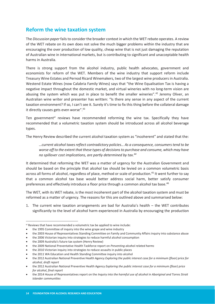## **Reform the wine taxation system**

The *Discussion paper* fails to consider the broader context in which the WET rebate operates. A review of the WET rebate on its own does not solve the much bigger problems within the industry that are encouraging the over production of low quality, cheap wine that is not just damaging the reputation of Australian wine in international markets, but is contributing to significant and unacceptable health harms in Australia.

There is strong support from the alcohol industry, public health advocates, government and economists for reform of the WET. Members of the wine industry that support reform include Treasury Wine Estates and Pernod Ricard Winemakers, two of the largest wine producers in Australia. Westend Estate Wines (now Calabria Family Wines) says that "the Wine Equalisation Tax is having a negative impact throughout the domestic market, and virtual wineries with no long-term vision are abusing the system which was put in place to benefit the smaller wineries".<sup>42</sup> Jeremy Oliver, an Australian wine writer and presenter has written: "Is there any sense in any aspect of the current taxation environment? If so, I can't see it. Surely it's time to fix this thing before the collateral damage it directly causes gets even worse".<sup>43</sup>

Ten government<sup>vi</sup> reviews have recommended reforming the wine tax. Specifically they have recommended that a volumetric taxation system should be introduced across all alcohol beverage types.

The Henry Review described the current alcohol taxation system as "incoherent" and stated that the:

*…current alcohol taxes reflect contradictory policies… As a consequence, consumers tend to be worse off to the extent that these types of decisions to purchase and consume, which may have no spillover cost implications, are partly determined by tax.44*

It determined that reforming the WET was a matter of urgency for the Australian Government and should be based on the principle that alcohol tax should be levied on a common volumetric basis across all forms of alcohol, regardless of place, method or scale of production.<sup>45</sup> It went further to say that a common alcohol tax base would better address social harm, better satisfy consumer preferences and effectively introduce a floor price through a common alcohol tax base.<sup>46</sup>

The WET, with its WET rebate, is the most incoherent part of the alcohol taxation system and must be reformed as a matter of urgency. The reasons for this are outlined above and summarised below:

1. The current wine taxation arrangements are bad for Australia's health – the WET contributes significantly to the level of alcohol harm experienced in Australia by encouraging the production

**.** 

vi Reviews that have recommended a volumetric tax be applied to wine include:

the 1995 Committee of inquiry into the wine grape and wine industry

the 2003 House of Representatives Standing Committee on Family and Community Affairs inquiry into substance abuse

<sup>•</sup> the 2006 Victorian inquiry into strategies to reduce harmful alcohol consumption

<sup>•</sup> the 2009 Australia's future tax system (Henry Review)

x the 2009 National Preventative Health Taskforce report on *Preventing alcohol related harms*

<sup>•</sup> the 2010 Victorian inquiry into strategies to reduce assaults in public places

<sup>•</sup> the 2011 WA Education and Health Standing Committee inquiry into alcohol

x the 2012 Australian National Preventive Health Agency *Exploring the public interest case for a minimum (floor) price for alcohol, draft report*

x the 2012 Australian National Preventive Health Agency *Exploring the public interest case for a minimum (floor) price for alcohol, final report*

the 2014 House of Representatives report on the *Inquiry into the harmful use of alcohol in Aboriginal and Torres Strait Islander communities*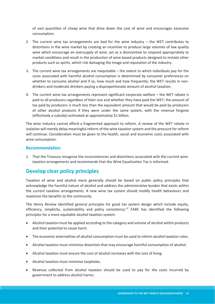of vast quantities of cheap wine that drive down the cost of wine and encourages excessive consumption.

- 2. The current wine tax arrangements are bad for the wine industry the WET contributes to distortions in the wine market by creating an incentive to produce large volumes of low quality wine which encourage an oversupply of wine, act as a disincentive to respond appropriately to market conditions and result in the production of wine based products designed to imitate other products such as spirits, which risk damaging the image and reputation of the industry.
- 3. The current wine tax arrangements are inequitable the extent to which individuals pay for the costs associated with harmful alcohol consumption is determined by consumer preferences on whether to consume alcohol and if so, how much and how frequently; the WET results in nondrinkers and moderate drinkers paying a disproportionate amount of alcohol taxation.
- 4. The current wine tax arrangements represent significant corporate welfare the WET rebate is paid to all producers regardless of their size and whether they have paid the WET; the amount of tax paid by producers is much less than the equivalent amount that would be paid by producers of other alcohol products if they were under the same system, with the revenue forgone (effectively a subsidy) estimated at approximately \$1 billion.

The wine industry cannot afford a fragmented approach to reform. A review of the WET rebate in isolation will merely delay meaningful reform of the wine taxation system and the pressure for reform will continue. Consideration must be given to the health, social and economic costs associated with wine consumption.

#### **Recommendation**

1. That the Treasury recognise the inconsistencies and distortions associated with the current wine taxation arrangements and recommends that the Wine Equalisation Tax is reformed.

## **Develop clear policy principles**

Taxation of wine and alcohol more generally should be based on public policy principles that acknowledge the harmful nature of alcohol and address the administrative burden that exists within the current taxation arrangements. A new wine tax system should modify health behaviours and maximise the benefits to the community.

The Henry Review identified general principles for good tax system design which include equity, efficiency, simplicity, sustainability and policy consistency.<sup>47</sup> FARE has identified the following principles for a more equitable alcohol taxation system:

- Alcohol taxation must be applied according to the category and volume of alcohol within products and their potential to cause harm.
- The economic externalities of alcohol consumption must be used to inform alcohol taxation rates.
- Alcohol taxation must minimise distortion that may encourage harmful consumption of alcohol.
- x Alcohol taxation must ensure the cost of alcohol increases with the cost of living.
- Alcohol taxation must minimise loopholes.
- Revenue collected from alcohol taxation should be used to pay for the costs incurred by government to address alcohol harms.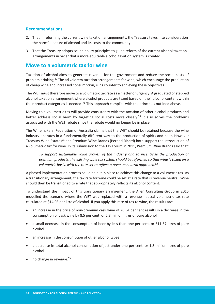#### **Recommendations**

- 2. That in reforming the current wine taxation arrangements, the Treasury takes into consideration the harmful nature of alcohol and its costs to the community.
- 3. That the Treasury adopts sound policy principles to guide reform of the current alcohol taxation arrangements in order that a more equitable alcohol taxation system is created.

#### **Move to a volumetric tax for wine**

Taxation of alcohol aims to generate revenue for the government and reduce the social costs of problem drinking.48 The ad valorem taxation arrangements for wine, which encourage the production of cheap wine and increased consumption, runs counter to achieving these objectives.

The WET must therefore move to a volumetric tax rate as a matter of urgency. A graduated or stepped alcohol taxation arrangement where alcohol products are taxed based on their alcohol content within their product categories is needed. <sup>49</sup> This approach complies with the principles outlined above.

Moving to a volumetric tax will provide consistency with the taxation of other alcohol products and better address social harm by targeting social costs more closely.<sup>50</sup> It also solves the problems associated with the WET rebate since the rebate would no longer be in place.

The Winemakers' Federation of Australia claims that the WET should be retained because the wine industry operates in a fundamentally different way to the production of spirits and beer. However Treasury Wine Estates<sup>51</sup> and Premium Wine Brands (Pernod Ricard) both support the introduction of a volumetric tax for wine. In its submission to the Tax Forum in 2011, Premium Wine Brands said that:

*To support sustainable value growth of the industry and to incentivise the production of premium products, the existing wine tax system should be reformed so that wine is taxed on a volumetric basis, with the rate set to reflect a revenue neutral approach.52*

A phased implementation process could be put in place to achieve this change to a volumetric tax. As a transitionary arrangement, the tax rate for wine could be set at a rate that is revenue neutral. Wine should then be transitioned to a rate that appropriately reflects its alcohol content.

To understand the impact of this transitionary arrangement, the Allen Consulting Group in 2015 modelled the scenario where the WET was replaced with a revenue neutral volumetric tax rate calculated at \$14.08 per litre of alcohol. If you apply this rate of tax to wine, the results are:

- an increase in the price of non-premium cask wine of 28.54 per cent results in a decrease in the consumption of cask wine by 8.5 per cent, or 2.3 million litres of pure alcohol
- a small decrease in the consumption of beer by less than one per cent, or 611.67 litres of pure alcohol
- an increase in the consumption of other alcohol types
- a decrease in total alcohol consumption of just under one per cent, or 1.8 million litres of pure alcohol
- $\bullet$  no change in revenue.<sup>53</sup>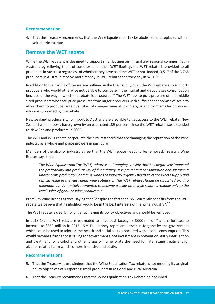#### **Recommendation**

4. That the Treasury recommends that the Wine Equalisation Tax be abolished and replaced with a volumetric tax rate.

#### **Remove the WET rebate**

While the WET rebate was designed to support small businesses in rural and regional communities in Australia by relieving them of some or all of their WET liability, the WET rebate is provided to all producers in Australia regardless of whether they have paid the WET or not. Indeed, 3,517 of the 3,765 producers in Australia receive more money in WET rebate than they pay in WET. 54

In addition to the rorting of the system outlined in the *Discussion paper*, the WET rebate also supports producers who would otherwise not be able to compete in the market and discourages consolidation because of the way in which the rebate is structured.55 The WET rebate puts pressure on the middle sized producers who face price pressures from larger producers with sufficient economies of scale to allow them to produce large quantities of cheaper wine at low margins and from smaller producers who are supported by the rebate.

New Zealand producers who import to Australia are also able to get access to the WET rebate. New Zealand wine imports have grown by an estimated 139 per cent since the WET rebate was extended to New Zealand producers in 2005.

The WET and WET rebate perpetuate the circumstances that are damaging the reputation of the wine industry as a whole and grape growers in particular.

Members of the alcohol industry agree that the WET rebate needs to be removed. Treasury Wine Estates says that:

*The Wine Equalisation Tax (WET) rebate is a damaging subsidy that has negatively impacted the profitability and productivity of the industry. It is preventing consolidation and sustaining uneconomic production, at a time when the industry urgently needs to retire excess supply and rebuild value in the Australian wine category… The WET rebate should be abolished or, at a minimum, fundamentally reoriented to become a cellar door style rebate available only to the retail sales of genuine wine producers.56* 

Premium Wine Brands agrees, saying that "despite the fact that PWB currently benefits from the WET rebate we believe that its abolition would be in the best interests of the wine industry".57

The WET rebate is clearly no longer achieving its policy objectives and should be removed.

In 2013-14, the WET rebate is estimated to have cost taxpayers \$333 million<sup>58</sup> and is forecast to increase to \$350 million in 2015-16.<sup>59</sup> This money represents revenue forgone by the government which could be used to address the health and social costs associated with alcohol consumption. This would provide a further cost saving for government since investment in prevention, early intervention and treatment for alcohol and other drugs will ameliorate the need for later stage treatment for alcohol-related harm which is more intensive and costly.

#### **Recommendations**

- 5. That the Treasury acknowledges that the Wine Equalisation Tax rebate is not meeting its original policy objectives of supporting small producers in regional and rural Australia.
- 6. That the Treasury recommends that the Wine Equalisation Tax Rebate be abolished.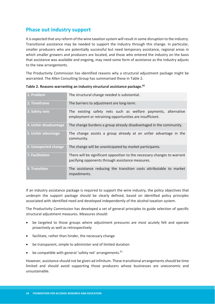## **Phase out industry support**

It is expected that any reform of the wine taxation system will result in some disruption to the industry. Transitional assistance may be needed to support the industry through this change. In particular, smaller producers who are potentially successful but need temporary assistance, regional areas in which smaller growers and producers are located, and those who entered the industry on the basis that assistance was available and ongoing, may need some form of assistance as the industry adjusts to the new arrangements.

The Productivity Commission has identified reasons why a structural adjustment package might be warranted. The Allen Consulting Group has summarised these in Table 2.

| 1. Problem             | The structural change needed is substantial.                                                                                 |
|------------------------|------------------------------------------------------------------------------------------------------------------------------|
| 2. Timeframe           | The barriers to adjustment are long-term.                                                                                    |
| 3. Safety nets         | The existing safety nets such as welfare payments, alternative<br>employment or retraining opportunities are insufficient.   |
| 4. Unfair disadvantage | The change burdens a group already disadvantaged in the community.                                                           |
| 5. Unfair advantage    | The change assists a group already at an unfair advantage in the<br>community.                                               |
| 6. Unexpected change   | The change will be unanticipated by market participants.                                                                     |
| 7. Facilitation        | There will be significant opposition to the necessary changes to warrant<br>pacifying opponents through assistance measures. |
| 8. Transition          | The assistance reducing the transition costs attributable to market<br>impediments.                                          |

**Table 2. Reasons warranting an industry structural assistance package.60**

If an industry assistance package is required to support the wine industry, the policy objectives that underpin the support package should be clearly defined, based on identified policy principles associated with identified need and developed independently of the alcohol taxation system.

The Productivity Commission has developed a set of general principles to guide selection of specific structural adjustment measures. Measures should:

- be targeted to those groups where adjustment pressures are most acutely felt and operate proactively as well as retrospectively
- facilitate, rather than hinder, the necessary change
- be transparent, simple to administer and of limited duration
- be compatible with general 'safety net' arrangements.<sup>61</sup>

However, assistance should not be given ad infinitum. These transitional arrangements should be time limited and should avoid supporting those producers whose businesses are uneconomic and unsustainable.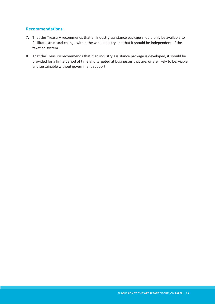#### **Recommendations**

- 7. That the Treasury recommends that an industry assistance package should only be available to facilitate structural change within the wine industry and that it should be independent of the taxation system.
- 8. That the Treasury recommends that if an industry assistance package is developed, it should be provided for a finite period of time and targeted at businesses that are, or are likely to be, viable and sustainable without government support.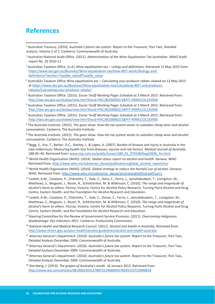## **References**

**.** 

1 Australian Treasury, (2010). *Australia's future tax system.* Report to the Treasurer, Part Two, Detailed analysis, Volume 2 of 2. Canberra: Commonwealth of Australia

- 3 Australian Taxation Office. (n.d.) *Wine equalisation tax rulings and definitions*. Retrieved 12 May 2015 from: https://www.ato.gov.au/Business/Wine-equalisation-tax/How-WET-works/Rulings-anddefinitions/?anchor=Taxable\_value#Taxable\_value
- 4 Australian Taxation Office *Wine equalisation tax Calculating your producer rebate* viewed on 12 May 2015 at https://www.ato.gov.au/Business/Wine-equalisation-tax/Calculating-WET-and-producerrebates/Calculating-your-producer-rebate/
- 5 Australian Taxation Office. (2015). *Excise Tariff Working Pages Schedule at 3 March 2015*. Retrieved from: http://law.ato.gov.au/atolaw/view.htm?Docid=PAC/BL030002/1&PiT=99991231235958
- 6 Australian Taxation Office. (2015). *Excise Tariff Working Pages Schedule at 3 March 2015*. Retrieved from: http://law.ato.gov.au/atolaw/view.htm?Docid=PAC/BL030002/1&PiT=99991231235958
- 7 Australian Taxation Office. (2015). *Excise Tariff Working Pages Schedule at 3 March 2015*. Retrieved from: http://law.ato.gov.au/atolaw/view.htm?Docid=PAC/BL030002/1&PiT=99991231235958

8 The Australia Institute. (2015). *The goon show: How the tax system works to subsidise cheap wine and alcohol consumption.* Canberra: The Australia Institute.

9 The Australia Institute. (2015). *The goon show: How the tax system works to subsidise cheap wine and alcohol consumption.* Canberra: The Australia Institute.

- 10 Begg, S., Vos, T., Barker, D.C., Stanley, L. & Lopez, A. (2007). Burden of disease and injury in Australia in the new millennium: Measuring health loss from diseases, injuries and risk factors. *Medical Journal of Australia*. 188:36−40. Retrieved from: www.mja.com.au/public/issues/188\_01\_070108/beg10596\_fm.html
- 11 World Health Organization (WHO). (2014). *Global status report on alcohol and health*. Geneva: WHO. Retrieved from: http://www.who.int/substance\_abuse/publications/global\_alcohol\_report/en/
- 12 World Health Organization (WHO). (2010). *Global strategy to reduce the harmful use of alcohol*. Geneva: WHO. Retrieved from: http://www.who.int/substance\_abuse/alcstratenglishfinal.pdf?ua=1
- <sup>13</sup> Laslett, A-M., Catalano, P., Chikritzhs, T., Dale, C., Dora, C., Ferris, J., Jainullabudeen, T., Livingston, M., Matthews, S., Mugavin, J., Room, R., Schlotterlein, M. & Wilkinson, C. (2010). *The range and magnitude of alcohol's harm to others*. Fitzroy, Victoria: Centre for Alcohol Policy Research, Turning Point Alcohol and Drug Centre, Eastern Health, and the Foundation for Alcohol Research and Education.
- 14 Laslett, A-M., Catalano, P., Chikritzhs, T., Dale, C., Doran, C., Ferris, J., Jainullabudeen, T., Livingston, M., Matthews, S., Mugavin, J., Room, R., Schlotterlein, M. & Wilkinson, C. (2010). *The range and magnitude of alcohol's harm to others.* Fitzroy, Victoria: Centre for Alcohol Policy Research, Turning Point Alcohol and Drug Centre, Eastern Health, and the Foundation for Alcohol Research and Education.
- 15 Steering Committee for the Review of Government Service Provision. (2011). *Overcoming Indigenous disadvantage: Key indicators 2011*. Canberra: Productivity Commission.
- 16 National Health and Medical Research Council. (2011). *Alcohol and health in Australia. Retrieved from:*  http://www.nhmrc.gov.au/your-health/alcohol-guidelines/alcohol-and-health-australia
- 17 Attorney General's Department. (2010). *Australia's future tax system.* Report to the Treasurer, Part Two, Detailed Analysis December 2009. Commonwealth of Australia.
- 18 Attorney General's Department. (2010). *Australia's future tax system.* Report to the Treasurer, Part Two, Detailed Analysis December 2009. Commonwealth of Australia.
- 19 Attorney General's Department. (2010). *Australia's future tax system.* Report to the Treasurer, Part Two, Detailed Analysis December 2009. Commonwealth of Australia.
- 20 Sternberg, J. (2013). *The grapes of Australia's wrath*. 16 January 2013. Retrieved from: http://www.wsj.com/articles/SB10001424127887323468604578245153725900818

<sup>2</sup> Australian National Audit Office. (2011). *Administration of the Wine Equalisation Tax Australian.* ANAO Audit report No. 20 2010-11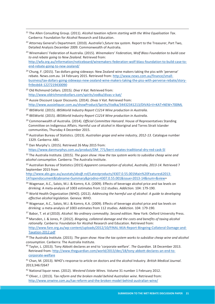- 21 The Allen Consulting Group. (2011). *Alcohol taxation reform starting with the Wine Equalisation Tax*. Canberra: Foundation for Alcohol Research and Education.
- 22 Attorney General's Department. (2010). *Australia's future tax system.* Report to the Treasurer, Part Two, Detailed Analysis December 2009. Commonwealth of Australia.
- 23 Winemakers' Federation of Australia. (2015). *Winemakers' Federation, Wolf Blass Foundation to build case to end rebate going to New Zealand.* Retrieved from: http://wfa.org.au/information/noticeboard/winemakers-federation-wolf-blass-foundation-to-build-case-toend-rebate-going-to-new-zealand/
- <sup>24</sup> Chung, F. (2015). Tax dollars going sideways: New Zealand wine makers taking the piss with 'perverse' rebate. N*ews.com.au.* 14 February 2015. Retrieved from: http://www.news.com.au/finance/smallbusiness/tax-dollars-going-sideways-new-zealand-wine-makers-taking-the-piss-with-perverse-rebate/storyfn9evb64-1227219430090
- 25 Old Richmond Cellars. (2015). *Diva V Kat.* Retrieved from: http://www.oldrichmondcellars.com/spirits/vodka/divas-v-kat/
- 26 Aussie Discount Liquor Discounts. (2014). *Divas V Kat*. Retrieved from: http://www.aussieliquor.com.au/showProduct/Spirits/Vodka/34432341213/DIVAS+V+KAT+NEW+700ML
- 27 IBISWorld. (2015). *IBISWorld Industry Report C1214 Wine production in Australia.*
- 28 IBISWorld. (2015). *IBISWorld Industry Report C1214 Wine production in Australia.*
- 29 Commonwealth of Australia. (2014). *Official Committee Hansard*. House of Representatives Standing Committee on Indigenous Affairs. Harmful use of alcohol in Aboriginal and Torres Strait Islander communities, Thursday 4 December 2015.
- 30 Australian Bureau of Statistics. (2013). *Australian grape and wine industry, 2012-13.* Catalogue number 1329. Canberra: ABS.
- <sup>31</sup> Dan Murphy's. (2015). Retrieved 26 May 2015 from: https://www.danmurphys.com.au/product/DM\_771/berri-estates-traditional-dry-red-cask-5l

32 The Australia Institute. (2015). *The goon show: How the tax system works to subsidise cheap wine and alcohol consumption.* Canberra: The Australia Institute.

33 Australian Bureau of Statistics (2015) *Apparent consumption of alcohol, Australia, 2013-14*. Retrieved 7 September 2015 from

http://www.abs.gov.au/ausstats/abs@.nsf/Latestproducts/4307.0.55.001Main%20Features62013- 14?opendocument&tabname=Summary&prodno=4307.0.55.001&issue=2013-14&num=&view=

- 34 Wagenaar, A.C., Salois, M.J. & Komro, K.A. (2009). Effects of beverage alcohol price and tax levels on drinking: A meta-analysis of 1003 estimates from 112 studies. *Addiction.* 104: 179-190.
- 35 World Health Organization (WHO). (2012). *Addressing the harmful use of alcohol: A guide to developing effective alcohol legislation.* Geneva: WHO.
- 36 Wagenaar, A.C., Salois, M.J. & Komro, K.A. (2009). Effects of beverage alcohol price and tax levels on drinking: a meta-analysis of 1003 estimates from 112 studies. *Addiction.* 104: 179-190.
- 37 Babor, T. et al (2010). *Alcohol: No ordinary commodity. Second edition.* New York: Oxford University Press.
- 38 Marsden, J. & Jones, P. (2012). *Bingeing, collateral damage and the costs and benefits of taxing alcohol rationally*. Canberra: Foundation for Alcohol Research and Education. Retrieved from: http://www.fare.org.au/wp-content/uploads/2012/10/FINAL-MJA-Report-Bingeing-Collateral-Damage-and-Taxation-2012.pdf
- <sup>39</sup> The Australia Institute. (2015). *The goon show: How the tax system works to subsidise cheap wine and alcohol consumption.* Canberra: The Australia Institute.<br><sup>40</sup> Taylor, L. (2013). Tony Abbott declares an end to 'corporate welfare'. *The Guardian.* 18 December 2013.
- Retrieved from: http://www.theguardian.com/world/2013/dec/18/tony-abbott-declares-an-end-tocorporate-welfare

41 Chan, M. (2013). WHO's response to article on doctors and the alcohol Industry. *British Medical Journal*. 2013;346:f2647

- 42 National liquor news. (2012). *Westend Estate Wines.* Volume 31 number 1 February 2012.
- 43 Oliver, J. (2013). *Tax reform and the broken model behind Australian wine*. Retrieved from: http://www.onwine.com.au/tax-reform-and-the-broken-model-behind-australian-wine/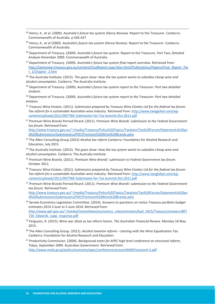- 44 Henry, K., et al. (2009). *Australia's future tax system (Henry Review).* Report to the Treasurer. Canberra: Commonwealth of Australia. p 436-437
- 45 Henry, K., et al (2009). *Australia's future tax system (Henry Review).* Report to the Treasurer. Canberra: Commonwealth of Australia.
- 46 Department of Treasury. (2009). *Australia's future tax system.* Report to the Treasurer, Part Two, Detailed Analysis December 2009. Commonwealth of Australia.
- 47 Department of Treasury. (2009). *Australia's future tax system final report overview.* Retrieved from: http://taxreview.treasury.gov.au/content/FinalReport.aspx?doc=html/Publications/Papers/Final\_Report\_Par t\_1/Chapter\_2.htm

48 The Australia Institute. (2015). *The goon show: How the tax system works to subsidise cheap wine and alcohol consumption.* Canberra: The Australia Institute.

49 Department of Treasury. (2009). *Australia's future tax system report to the Treasurer: Part two detailed analysis.*

50 Department of Treasury. (2009). *Australia's future tax system report to the Treasurer: Part two detailed analysis.*

- 51 Treasury Wine Estates. (2011). *Submission prepared by Treasury Wine Estates Ltd for the federal tax forum: Tax reform for a sustainable Australian wine industry.* Retrieved from: http://www.tweglobal.com/wpcontent/uploads/2011/09/TWE-Submission-for-Tax-Summit-Oct-2011.pdf
- 52 Premium Wine Brands Pernod Ricard. (2011). *Premium Wine Brands' submission to the Federal Government tax forum.* Retrieved from: http://www.treasury.gov.au/~/media/Treasury/Policy%20Topics/Taxation/Tax%20Forum/Statements%20an

d%20Submissions/Submissions/PDF/Premium%20Wine%20Brands.ashx 53 The Allen Consulting Group (2015) *Alcohol tax reform* Canberra: Foundation for Alcohol Research and

Education, July 2015.

54 The Australia Institute. (2015). *The goon show: How the tax system works to subsidise cheap wine and alcohol consumption.* Canberra: The Australia Institute.

- 55 Premium Wine Brands. (2011). *Premium Wine Brands' submission to Federal Government tax forum.* October 2011.
- 56 Treasury Wine Estates. (2011). *Submission prepared by Treasury Wine Estates Ltd for the federal tax forum: Tax reform for a sustainable Australian wine industry.* Retrieved from: http://www.tweglobal.com/wpcontent/uploads/2011/09/TWE-Submission-for-Tax-Summit-Oct-2011.pdf
- 57 Premium Wine Brands Pernod Ricard. (2011). *Premium Wine Brands' submission to the Federal Government tax forum.* Retrieved from: http://www.treasury.gov.au/~/media/Treasury/Policy%20Topics/Taxation/Tax%20Forum/Statements%20an d%20Submissions/Submissions/PDF/Premium%20Wine%20Brands.ashx
- 58 Senate Economics Legislation Committee. (2014). *Answers to questions on notice Treasury portfolio budget estimates 2014 3 June to 5 June 2014*. Retrieved from: http://www.aph.gov.au/~/media/Committees/economics\_ctte/estimates/bud\_1415/Treasury/answers/BET
- 720 Edwards supp response.pdf 59 Ferguson, A. (2015). Wine war afoot as tax reform looms. *The Australian Financial Review.* Monday 18 May
- 2015.
- 60 The Allen Consulting Group. (2011). *Alcohol taxation reform starting with the Wine Equalisation Tax*. Canberra: Foundation for Alcohol Research and Education.
- 61 Productivity Commission. (2004). *Background notes for APEC high level conference on structural reform, Tokyo, September 2004*. Australian Government. Retrieved from: http://www.mofa.go.jp/policy/economy/apec/conference/present0409/session4-5.pdf